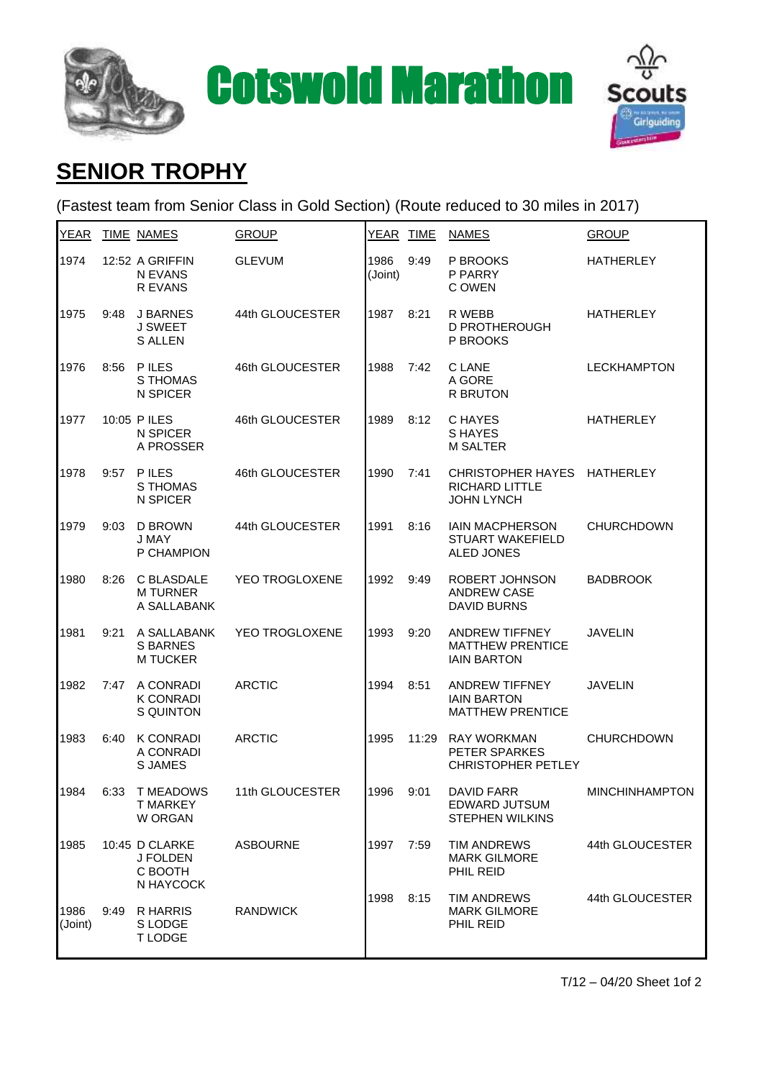



## **SENIOR TROPHY**

(Fastest team from Senior Class in Gold Section) (Route reduced to 30 miles in 2017)

| YEAR            |      | <b>TIME NAMES</b>                                  | <b>GROUP</b>          | YEAR TIME       |       | <b>NAMES</b>                                                           | <b>GROUP</b>          |
|-----------------|------|----------------------------------------------------|-----------------------|-----------------|-------|------------------------------------------------------------------------|-----------------------|
| 1974            |      | 12:52 A GRIFFIN<br>N EVANS<br>R EVANS              | <b>GLEVUM</b>         | 1986<br>(Joint) | 9:49  | P BROOKS<br>P PARRY<br>C OWEN                                          | <b>HATHERLEY</b>      |
| 1975            | 9:48 | J BARNES<br>J SWEET<br><b>S ALLEN</b>              | 44th GLOUCESTER       | 1987            | 8:21  | R WEBB<br><b>D PROTHEROUGH</b><br>P BROOKS                             | <b>HATHERLEY</b>      |
| 1976            | 8:56 | <b>PILES</b><br>S THOMAS<br>N SPICER               | 46th GLOUCESTER       | 1988            | 7:42  | C LANE<br>A GORE<br><b>R BRUTON</b>                                    | <b>LECKHAMPTON</b>    |
| 1977            |      | 10:05 P ILES<br>N SPICER<br>A PROSSER              | 46th GLOUCESTER       | 1989            | 8:12  | C HAYES<br><b>SHAYES</b><br><b>M SALTER</b>                            | <b>HATHERLEY</b>      |
| 1978            | 9:57 | <b>PILES</b><br>S THOMAS<br>N SPICER               | 46th GLOUCESTER       | 1990            | 7:41  | <b>CHRISTOPHER HAYES</b><br><b>RICHARD LITTLE</b><br><b>JOHN LYNCH</b> | <b>HATHERLEY</b>      |
| 1979            | 9:03 | <b>D BROWN</b><br>J MAY<br>P CHAMPION              | 44th GLOUCESTER       | 1991            | 8:16  | <b>IAIN MACPHERSON</b><br><b>STUART WAKEFIELD</b><br><b>ALED JONES</b> | <b>CHURCHDOWN</b>     |
| 1980            | 8:26 | C BLASDALE<br><b>M TURNER</b><br>A SALLABANK       | YEO TROGLOXENE        | 1992            | 9:49  | ROBERT JOHNSON<br><b>ANDREW CASE</b><br><b>DAVID BURNS</b>             | <b>BADBROOK</b>       |
| 1981            | 9:21 | A SALLABANK<br><b>S BARNES</b><br><b>M TUCKER</b>  | <b>YEO TROGLOXENE</b> | 1993            | 9:20  | <b>ANDREW TIFFNEY</b><br><b>MATTHEW PRENTICE</b><br><b>IAIN BARTON</b> | <b>JAVELIN</b>        |
| 1982            | 7:47 | A CONRADI<br><b>K CONRADI</b><br>S QUINTON         | <b>ARCTIC</b>         | 1994            | 8:51  | <b>ANDREW TIFFNEY</b><br><b>IAIN BARTON</b><br><b>MATTHEW PRENTICE</b> | <b>JAVELIN</b>        |
| 1983            | 6:40 | <b>K CONRADI</b><br>A CONRADI<br><b>S JAMES</b>    | <b>ARCTIC</b>         | 1995            | 11:29 | <b>RAY WORKMAN</b><br>PETER SPARKES<br><b>CHRISTOPHER PETLEY</b>       | <b>CHURCHDOWN</b>     |
| 1984            | 6:33 | <b>T MEADOWS</b><br><b>T MARKEY</b><br>W ORGAN     | 11th GLOUCESTER       | 1996            | 9:01  | <b>DAVID FARR</b><br><b>EDWARD JUTSUM</b><br><b>STEPHEN WILKINS</b>    | <b>MINCHINHAMPTON</b> |
| 1985            |      | 10:45 D CLARKE<br>J FOLDEN<br>C BOOTH<br>N HAYCOCK | <b>ASBOURNE</b>       | 1997            | 7:59  | <b>TIM ANDREWS</b><br><b>MARK GILMORE</b><br>PHIL REID                 | 44th GLOUCESTER       |
| 1986<br>(Joint) | 9:49 | <b>R HARRIS</b><br>S LODGE<br><b>TLODGE</b>        | <b>RANDWICK</b>       | 1998            | 8:15  | <b>TIM ANDREWS</b><br><b>MARK GILMORE</b><br>PHIL REID                 | 44th GLOUCESTER       |